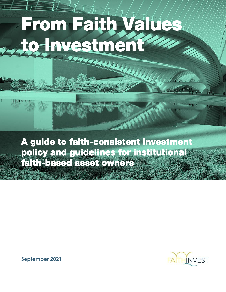# **From Faith Values to Investment**  .<br>Marzo

**A guide to faith-consistent investment policy and guidelines for institutional faith-based asset owners** 



**September 2021**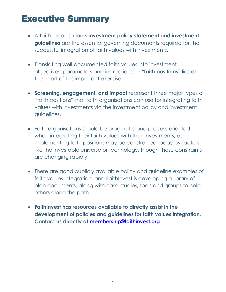### **Executive Summary**

- A faith organisation's **investment policy statement and investment guidelines** are the essential governing documents required for the successful integration of faith values with investments.
- Translating well-documented faith values into investment objectives, parameters and instructions, or **"faith positions"** lies at the heart of this important exercise.
- **Screening, engagement, and impact** represent three major types of "faith positions" that faith organisations can use for integrating faith values with investments via the investment policy and investment guidelines.
- Faith organisations should be pragmatic and process-oriented when integrating their faith values with their investments, as implementing faith positions may be constrained today by factors like the investable universe or technology, though these constraints are changing rapidly.
- There are good publicly available policy and guideline examples of faith values integration, and FaithInvest is developing a library of plan documents, along with case-studies, tools and groups to help others along the path.
- **FaithInvest has resources available to directly assist in the development of policies and guidelines for faith values integration. Contact us directly at [membership@faithinvest.org](mailto:membership@faithinvest.org)**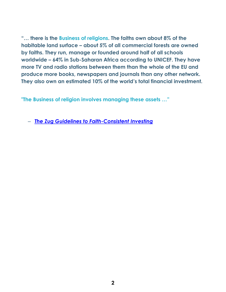**"… there is the Business of religions. The faiths own about 8% of the habitable land surface – about 5% of all commercial forests are owned by faiths. They run, manage or founded around half of all schools worldwide – 64% in Sub-Saharan Africa according to UNICEF. They have more TV and radio stations between them than the whole of the EU and produce more books, newspapers and journals than any other network. They also own an estimated 10% of the world's total financial investment.** 

**"The Business of religion involves managing these assets …"**

‒ *[The Zug Guidelines to Faith-Consistent Investing](https://1a956828-fe29-43d1-a8f0-31f34ea86a62.filesusr.com/ugd/72b7c5_8f781c73c1bc4691a18cb9b3ace4e53b.pdf)*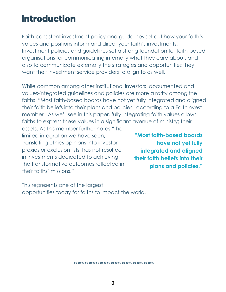### **Introduction**

Faith-consistent investment policy and guidelines set out how your faith's values and positions inform and direct your faith's investments. Investment policies and guidelines set a strong foundation for faith-based organisations for communicating internally what they care about, and also to communicate externally the strategies and opportunities they want their investment service providers to align to as well.

While common among other institutional investors, documented and values-integrated guidelines and policies are more a rarity among the faiths. "Most faith-based boards have not yet fully integrated and aligned their faith beliefs into their plans and policies" according to a FaithInvest member. As we'll see in this paper, fully integrating faith values allows faiths to express these values in a significant avenue of ministry; their

assets. As this member further notes "the limited integration we have seen, translating ethics opinions into investor proxies or exclusion lists, has not resulted in investments dedicated to achieving the transformative outcomes reflected in their faiths' missions."

**"Most faith-based boards have not yet fully integrated and aligned their faith beliefs into their plans and policies."**

This represents one of the largest opportunities today for faiths to impact the world.

∞∞∞∞∞∞∞∞∞∞∞∞∞∞∞∞∞∞∞∞∞∞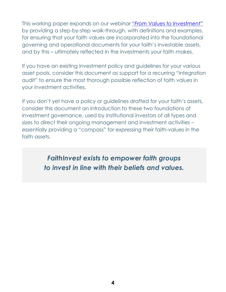This working paper expands on our webinar *["From Values to Investment"](https://www.faithinvest.org/post/rooting-investment-guidelines-in-faith-principles-webinar)* by providing a step-by-step walk-through, with definitions and examples, for ensuring that your faith values are incorporated into the foundational governing and operational documents for your faith's investable assets, and by this – ultimately reflected in the investments your faith makes.

If you have an existing investment policy and guidelines for your various asset pools, consider this document as support for a recurring "integration audit" to ensure the most thorough possible reflection of faith values in your investment activities.

If you don't yet have a policy or guidelines drafted for your faith's assets, consider this document an introduction to these two foundations of investment governance, used by institutional investors of all types and sizes to direct their ongoing management and investment activities – essentially providing a "compass" for expressing their faith-values in the faith assets.

> *FaithInvest exists to empower faith groups to invest in line with their beliefs and values.*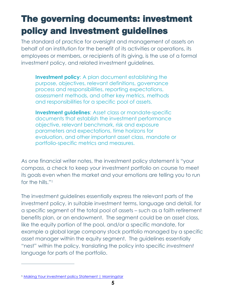# **The governing documents: investment policy and investment guidelines**

The standard of practice for oversight and management of assets on behalf of an institution for the benefit of its activities or operations, its employees or members, or recipients of its giving, is the use of a formal investment policy, and related investment guidelines.

**Investment policy:** A plan document establishing the purpose, objectives, relevant definitions, governance process and responsibilities, reporting expectations, assessment methods, and other key metrics, methods and responsibilities for a specific pool of assets.

**Investment quidelines:** Asset class or mandate-specific documents that establish the investment performance objective, relevant benchmark, risk and exposure parameters and expectations, time horizons for evaluation, and other important asset class, mandate or portfolio-specific metrics and measures.

As one financial writer notes, the investment policy statement is "your compass, a check to keep your investment portfolio on course to meet its goals even when the market and your emotions are telling you to run for the hills." 1

The investment guidelines essentially express the relevant parts of the investment policy, in suitable investment terms, language and detail, for a specific segment of the total pool of assets – such as a faith retirement benefits plan, or an endowment. The segment could be an asset class, like the equity portion of the pool, and/or a specific mandate, for example a global large company stock portfolio managed by a specific asset manager within the equity segment. The guidelines essentially "nest" within the policy, translating the policy into specific *investment* language for parts of the portfolio.

**<sup>1</sup>** [Making Your investment policy](https://www.morningstar.com/articles/619888/making-your-investment-policy-statement) Statement | Morningstar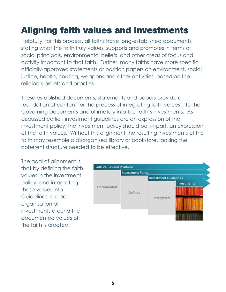# **Aligning faith values and investments**

Helpfully, for this process, all faiths have long-established documents stating what the faith truly values, supports and promotes in terms of social principals, environmental beliefs, and other areas of focus and activity important to that faith. Further, many faiths have more specific officially-approved statements or position papers on environment, social justice, health, housing, weapons and other activities, based on the religion's beliefs and priorities.

These established documents, statements and papers provide a foundation of content for the process of integrating faith values into the Governing Documents and ultimately into the faith's investments. As discussed earlier, investment guidelines are an expression of the investment policy; the investment policy should be, in-part, an expression of the faith values. Without this alignment the resulting investments of the faith may resemble a disorganised library or bookstore, lacking the coherent structure needed to be effective.

The goal of alignment is that by defining the faithvalues in the investment policy, and integrating these values into Guidelines, a clear organisation of investments around the documented values of the faith is created.

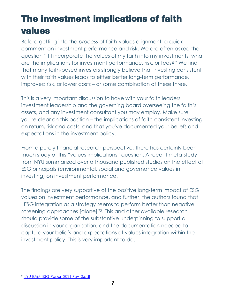# **The investment implications of faith values**

Before getting into the *process* of faith-values alignment, a quick comment on investment performance and risk. We are often asked the question "if I incorporate the values of my faith into my investments, what are the implications for investment performance, risk, or fees?" We find that many faith-based investors strongly believe that investing consistent with their faith values leads to either better long-term performance, improved risk, or lower costs – or some combination of these three.

This is a very important discussion to have with your faith leaders, investment leadership and the governing board overseeing the faith's assets, and any investment consultant you may employ. Make sure you're clear on this position – the implications of faith-consistent investing on return, risk and costs, and that you've documented your beliefs and expectations in the investment policy.

From a purely financial research perspective, there has certainly been much study of this "values implications" question. A recent meta-study from NYU summarized over a thousand published studies on the effect of ESG principals (environmental, social and governance values in investing) on investment performance.

The findings are very supportive of the positive long-term impact of ESG values on investment performance, and further, the authors found that "ESG integration as a strategy seems to perform better than negative screening approaches [alone]"2. This and other available research should provide some of the substantive underpinning to support a discussion in your organisation, and the documentation needed to capture your beliefs and expectations of values integration within the investment policy. This is very important to do.

**<sup>2</sup>** [NYU-RAM\\_ESG-Paper\\_2021 Rev\\_0.pdf](https://www.stern.nyu.edu/sites/default/files/assets/documents/NYU-RAM_ESG-Paper_2021%20Rev_0.pdf)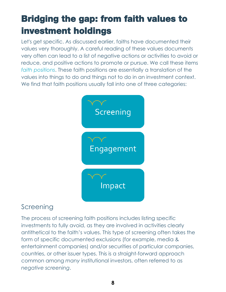# **Bridging the gap: from faith values to investment holdings**

Let's get specific. As discussed earlier, faiths have documented their values very thoroughly. A careful reading of these values documents very often can lead to a list of negative actions or activities to avoid or reduce, and positive actions to promote or pursue. We call these items *faith positions*. These faith positions are essentially a translation of the values into things to do and things not to do in an investment context. We find that faith positions usually fall into one of three categories:



#### **Screening**

The process of screening faith positions includes listing specific investments to fully avoid, as they are involved in activities clearly antithetical to the faith's values. This type of screening often takes the form of specific documented exclusions (for example, media & entertainment companies) and/or securities of particular companies, countries, or other issuer types. This is a straight-forward approach common among *many* institutional investors, often referred to as *negative screening*.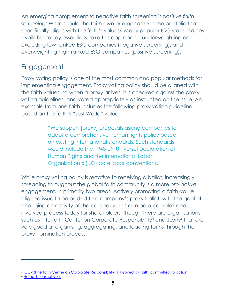An emerging complement to negative faith screening is *positive faith screening:* What should the faith own or emphasize in the portfolio that specifically aligns with the faith's values? Many popular ESG stock indices available today essentially take this approach – underweighting or excluding low-ranked ESG companies (negative screening), and overweighting high-ranked ESG companies (positive screening).

#### Engagement

Proxy voting policy is one of the most common and popular methods for implementing engagement. Proxy voting policy should be aligned with the faith values, so when a proxy arrives, it is checked against the proxy voting guidelines, and voted appropriately as instructed on the issue. An example from one faith includes the following proxy voting guideline, based on the faith's "Just World" value:

> "We support [proxy] proposals asking companies to adopt a comprehensive human rights policy based on existing international standards. Such standards would include the 1948 UN Universal Declaration of Human Rights and the International Labor Organization's (ILO) core labor conventions."

While proxy voting policy is *reactive* to receiving a ballot, increasingly spreading throughout the global faith community is a more *pro-active* engagement, in primarily two areas: Actively promoting a faith-value aligned issue to be added to a company's proxy ballot, with the goal of changing an activity of the company. This can be a complex and involved process today for shareholders, though there are organisations such as Interfaith Center on Corporate Responsibility<sup>3</sup> and JLens<sup>4</sup> that are very good at organising, aggregating, and leading faiths through the proxy nomination process.

<sup>&</sup>lt;sup>3</sup> [ICCR \(Interfaith Center on Corporate Responsibility\) | Inspired by faith, committed to action](https://www.iccr.org/)

<sup>4</sup> [Home | jlensnetwork](https://www.jlensnetwork.org/)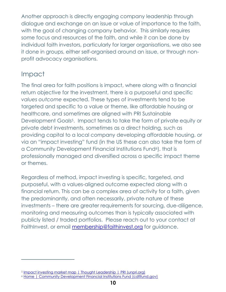Another approach is directly engaging company leadership through dialogue and exchange on an issue or value of importance to the faith, with the goal of changing company behavior. This similarly requires some focus and resources of the faith, and while it can be done by individual faith investors, particularly for larger organisations, we also see it done in groups, either self-organised around an issue, or through nonprofit advocacy organisations.

#### Impact

The final area for faith positions is impact, where along with a financial return objective for the investment, there is a purposeful and specific *values outcome* expected. These types of investments tend to be targeted and specific to a value or theme, like affordable housing or healthcare, and sometimes are aligned with PRI Sustainable Development Goals<sup>5</sup>. Impact tends to take the form of private equity or private debt investments, sometimes as a direct holding, such as providing capital to a local company developing affordable housing, or via an "impact investing" fund (in the US these can also take the form of a Community Development Financial Institutions Fund<sup>6</sup>), that is professionally managed and diversified across a specific impact theme or themes.

Regardless of method, impact investing is specific, targeted, and purposeful, with a values-aligned outcome expected along with a financial return. This can be a complex area of activity for a faith, given the predominantly, and often necessarily, private nature of these investments – there are greater requirements for sourcing, due-diligence, monitoring and measuring outcomes than is typically associated with publicly listed / traded portfolios. Please reach out to your contact at FaithInvest, or email [membership@faithinvest.org](mailto:membership@faithinvest.org) for guidance.

<sup>5</sup> [Impact investing market map | Thought Leadership |](https://www.unpri.org/thematic-and-impact-investing/impact-investing-market-map/3537.article) PRI (unpri.org)

<sup>6</sup> [Home | Community Development Financial Institutions Fund \(cdfifund.gov\)](https://www.cdfifund.gov/)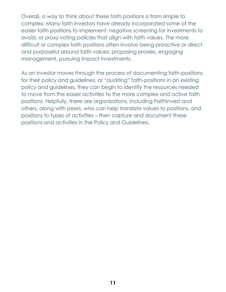Overall, a way to think about these faith positions is from simple to complex. Many faith investors have already incorporated some of the easier faith positions to implement: negative screening for investments to avoid, or proxy voting policies that align with faith values. The more difficult or complex faith positions often involve being proactive or direct and purposeful around faith values; proposing proxies, engaging management, pursuing impact investments.

As an investor moves through the process of documenting faith-positions for their policy and guidelines, or "auditing" faith-positions in an existing policy and guidelines, they can begin to identify the resources needed to move from the easier activities to the more complex and active faith positions. Helpfully, there are organisations, including FaithInvest and others, along with peers, who can help translate values to positions, and positions to types of activities – then capture and document these positions and activities in the Policy and Guidelines.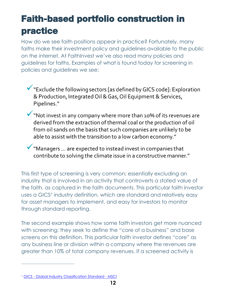### **Faith-based portfolio construction in practice**

How do we see faith positions appear in practice? Fortunately, many faiths make their investment policy and guidelines available to the public on the internet. At FaithInvest we've also read many policies and guidelines for faiths. Examples of what is found today for screening in policies and guidelines we see:

- ▼ "Exclude the following sectors [as defined by GICS code]: Exploration & Production, Integrated Oil & Gas, Oil Equipment & Services, Pipelines."
- W "Not invest in any company where more than 10% of its revenues are derived from the extraction of thermal coal or the production of oil from oil sands on the basis that such companies are unlikely to be able to assist with the transition to a low carbon economy."
- Managers ... are expected to instead invest in companies that contribute to solving the climate issue in a constructive manner."

This first type of screening is very common; essentially excluding an industry that is involved in an activity that controverts a stated value of the faith, as captured in the faith documents. This particular faith investor uses a GICS<sup>7</sup> industry definition, which are standard and relatively easy for asset managers to implement, and easy for investors to monitor through standard reporting.

The second example shows how some faith investors get more nuanced with screening; they seek to define the "core of a business" and base screens on this definition. This particular faith investor defines "core" as any business line or division within a company where the revenues are greater than 10% of total company revenues. If a screened activity is

<sup>7</sup> GICS - [Global Industry Classification Standard -](https://www.msci.com/gics) MSCI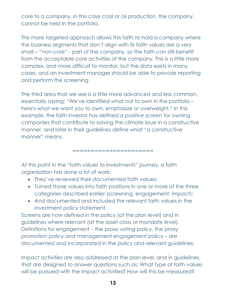core to a company, in this case coal or oil production, the company cannot be held in the portfolio.

This more targeted approach allows this faith to hold a company where the business segments that don't align with its faith values are a very small – "non-core" - part of the company, so the faith can still benefit from the acceptable core activities of the company. This is a little more complex, and more difficult to monitor, but the data exists in many cases, and an investment manager should be able to provide reporting and perform the screening.

The third area that we see is a little more advanced and less common, essentially saying: "We've identified what not to own in the portfolio – here's what we want you to own, emphasize or overweight." In this example, the faith investor has defined a *positive screen* for owning companies that contribute to solving the climate issue in a constructive manner, and later in their guidelines define what "a constructive manner" means.

∞∞∞∞∞∞∞∞∞∞∞∞∞∞∞∞∞∞∞∞∞∞

At this point in the "faith values to investments" journey, a faith organisation has done a lot of work:

- They've reviewed their documented faith values;
- Turned those values into faith positions in one or more of the three categories described earlier (screening, engagement, impact);
- And documented and included the relevant faith values in the investment policy statement.

Screens are now defined in the policy (at the plan level) and in guidelines where relevant (at the asset class or mandate level). Definitions for engagement – the proxy voting policy, the proxy *promotion* policy and management engagement policy – are documented and incorporated in the policy and relevant guidelines.

Impact activities are also addressed at the plan level, and in guidelines, that are designed to answer questions such as: What type of faith values will be pursued with the impact activities? How will this be measured?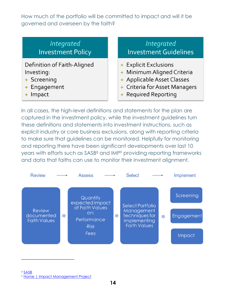How much of the portfolio will be committed to impact and will it be governed and overseen by the faith?

#### *Integrated* **Investment Policy**

Definition of Faith-Aligned Investing:

- + Screening
- + Engagement
- + Impact

#### Integrated **Investment Guidelines**

- + Explicit Exclusions
- + Minimum Aligned Criteria
- + Applicable Asset Classes
- + Criteria for Asset Managers
- + Required Reporting

In all cases, the high-level definitions and statements for the plan are captured in the investment policy, while the investment guidelines turn these definitions and statements into investment instructions, such as explicit industry or core business exclusions, along with reporting criteria to make sure that guidelines can be monitored. Helpfully for monitoring and reporting there have been significant developments over last 10 years with efforts such as SASB<sup>8</sup> and IMP<sup>9</sup> providing reporting frameworks and data that faiths can use to monitor their investment alignment.



<sup>9</sup> [Home | Impact Management Project](https://impactmanagementproject.com/)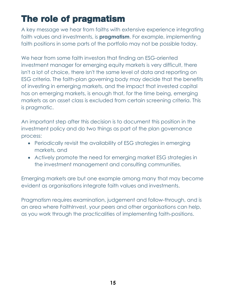# **The role of pragmatism**

A key message we hear from faiths with extensive experience integrating faith values and investments, is **pragmatism**. For example, implementing faith positions in some parts of the portfolio may not be possible today.

We hear from some faith investors that finding an ESG-oriented investment manager for emerging equity markets is very difficult, there isn't a lot of choice, there isn't the same level of data and reporting on ESG criteria. The faith-plan governing body may decide that the benefits of investing in emerging markets, and the impact that invested capital has on emerging markets, is enough that, for the time being, emerging markets as an asset class is excluded from certain screening criteria. This is pragmatic.

An important step after this decision is to document this position in the investment policy and do two things as part of the plan governance process:

- Periodically revisit the availability of ESG strategies in emerging markets, and
- Actively promote the need for emerging market ESG strategies in the investment management and consulting communities.

Emerging markets are but one example among many that may become evident as organisations integrate faith values and investments.

Pragmatism requires examination, judgement and follow-through, and is an area where FaithInvest, your peers and other organisations can help, as you work through the practicalities of implementing faith-positions.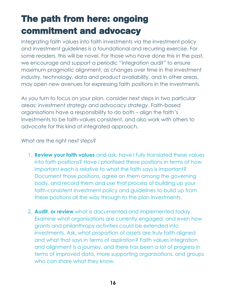# **The path from here: ongoing commitment and advocacy**

Integrating faith values into faith investments via the investment policy and investment guidelines is a foundational and recurring exercise. For some readers, this will be novel. For those who have done this in the past, we encourage and support a periodic "integration audit" to ensure maximum pragmatic alignment, as changes over time in the investment industry, technology, data and product availability, and in other areas, may open new avenues for expressing faith positions in the investments.

As you turn to focus on your plan, consider next steps in two particular areas: *investment strategy* and *advocacy strategy*. Faith-based organisations have a responsibility to do both – align the faith's investments to be faith-values consistent, and also work with others to advocate for this kind of integrated approach.

What are the right next steps?

- 1. **Review your faith values** and ask, have I fully translated these values into faith positions? Have I prioritised these positions in terms of how important each is relative to what the faith says is important? Document those positions, agree on them among the governing body, and record them and use that process of building up your faith-consistent investment policy and guidelines to build up from these positions all the way through to the plan investments.
- 2. **Audit, or review** what is documented and implemented today. Examine what organisations are currently engaged, and even how grants and philanthropy activities could be extended into investments. Ask, what proportion of assets are truly faith aligned and what that says in terms of aspiration? Faith values integration and alignment is a journey, and there has been a lot of progress in terms of improved data, more supporting organisations, and groups who can share what they know.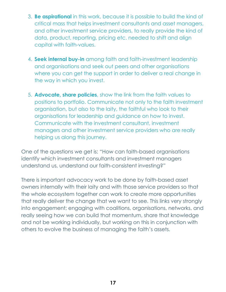- 3. **Be aspirational** in this work, because it is possible to build the kind of critical mass that helps investment consultants and asset managers, and other investment service providers, to really provide the kind of data, product, reporting, pricing etc. needed to shift and align capital with faith-values.
- 4. **Seek internal buy-in** among faith and faith-investment leadership and organisations and seek out peers and other organisations where you can get the support in order to deliver a real change in the way in which you invest.
- 5. **Advocate, share policies**, show the link from the faith values to positions to portfolio. Communicate not only to the faith investment organisation, but also to the laity, the faithful who look to their organisations for leadership and guidance on how to invest. Communicate with the investment consultant, investment managers and other investment service providers who are really helping us along this journey.

One of the questions we get is: "How can faith-based organisations identify which investment consultants and investment managers understand us, understand our faith-consistent investing?"

There is important advocacy work to be done by faith-based asset owners internally with their laity and with those service providers so that the whole ecosystem together can work to create more opportunities that really deliver the change that we want to see. This links very strongly into engagement; engaging with coalitions, organisations, networks, and really seeing how we can build that momentum, share that knowledge and not be working individually, but working on this in conjunction with others to evolve the business of managing the faith's assets.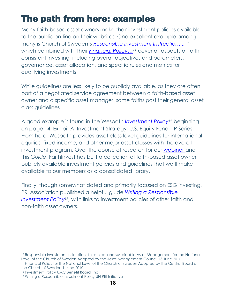# **The path from here: examples**

Many faith-based asset owners make their investment policies available to the public on-line on their websites. One excellent example among many is Church of Sweden's *[Responsible Investment Instructions...](https://www.svenskakyrkan.se/filer/Church%20of%20Sweden%20RI%20Instructions%20April%202017%20final.pdf)10,*  which combined with their *[Financial Policy…](https://www.svenskakyrkan.se/filer/1374643/Finanspolicy%20Church%20of%20Sweden%20English%20version%202020-02-27.pdf)<sup>11</sup>* cover all aspects of faith consistent investing, including overall objectives and parameters, governance, asset allocation, and specific rules and metrics for qualifying investments.

While guidelines are less likely to be publicly available, as they are often part of a negotiated service agreement between a faith-based asset owner and a specific asset manager, some faiths post their general asset class guidelines.

A good example is found in the Wespath *[Investment Policy](https://www.wespath.org/assets/1/7/investment_policy.pdf)<sup>12</sup>* beginning on page 14, Exhibit A: Investment Strategy, U.S. Equity Fund – P Series. From here, Wespath provides asset class level guidelines for international equities, fixed income, and other major asset classes with the overall investment program. Over the course of research for our [webinar a](https://www.faithinvest.org/post/rooting-investment-guidelines-in-faith-principles-webinar)nd this *Guide*, FaithInvest has built a collection of faith-based asset owner publicly available investment policies and guidelines that we'll make available to our members as a consolidated library.

Finally, though somewhat dated and primarily focused on ESG investing, PRI Association published a helpful guide *[Writing a Responsible](https://www.unpri.org/download?ac=5205)  [Investment Policy](https://www.unpri.org/download?ac=5205)13,* with links to investment policies of other faith and non-faith asset owners.

the Church of Sweden 1 June 2010

<sup>10</sup> Responsible Investment Instructions for ethical and sustainable Asset Management for the National Level of the Church of Sweden Adopted by the Asset Management Council 15 June 2010 <sup>11</sup> Financial Policy for the National Level of the Church of Sweden Adopted by the Central Board of

<sup>12</sup> Investment Policy UMC Benefit Board, Inc

<sup>&</sup>lt;sup>13</sup> Writing a Responsible Investment Policy UN PRI Initiative